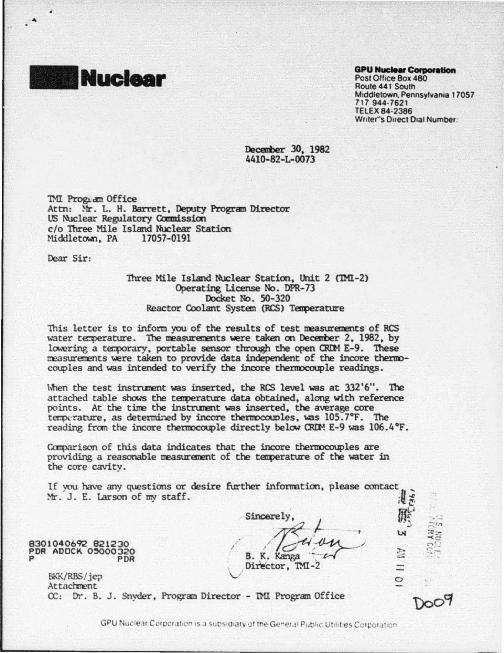

Post Office Box 480 Route 441 South Mrddletown. Pennsylvania 17057 717 944-7621 TELEX 84·2386 Writer"s Direct Dial Number:

December 30, 1982 4410-82-L-0073

DU Progr.dn Office Attn: Mr. L. H. Barrett, Deputy Program Director US Nuclear Regulatory Carmission c/o Three Mile Island Nuclear Station<br>Middletown, PA 17057-0191 Middletown, PA

Dear Sir:

Three Mile Island Nuclear Station, Unit 2 (TMI-2) Operating license No. DPR-73 Docket No. 50-320 Reactor Coolant System (RCS) Temperature

This letter is to inform you of the results of test measurements of RCS water temperature. The measurements were taken on December 2, 1982, by lowering a temporary, portable sensor through the open CRIM E-9. These measurements were taken to provide data independent of the incore thermocouples and was intended to verify the incore thermocouple readings.

When the test instrument was inserted, the RCS level was at 332'6". The attached table shows the temperature data obtained, along with reference points. At the time the instrument was inserted, the average core temperature, as determined by incore thermocouples, was 105.7°F. The reading from the incore thermocouple directly below CRDM E-9 was  $106.4$  °F.

Comparison of this data indicates that the incore thermocouples are providing a reasonable measurement of the temperature of the water in the core cavity.

If you have any questions or desire further information, please contact Mr. J. E. Larson of my staff. 8301040692 821230 PDR ADOCK 05000320 P PDR BKK/RBS/jep Attachment  $\mathbf{H}^{\mathbf{G}}$ Sincerely  $\frac{m_5}{m_5}$ <br>B. K. Kanga  $\frac{m_5}{m_5}$ B. K. Kanga r--r- <sup>~</sup>Diie'ctor. '00-2  $\,\,\vee\,\,$  . The contract of  $\,$  $\Xi^n$  $\approx$  $\prec \in$  $\mathbb{C}$   $\mathbb{C}$   $\mathbb{C}$  $\approx -$ 

CC: Dr. B. J. Snyder. Program Director - DU Program Office

GPU Nuclear Corporation is a subsidiary of the General Public Utilities Corporation